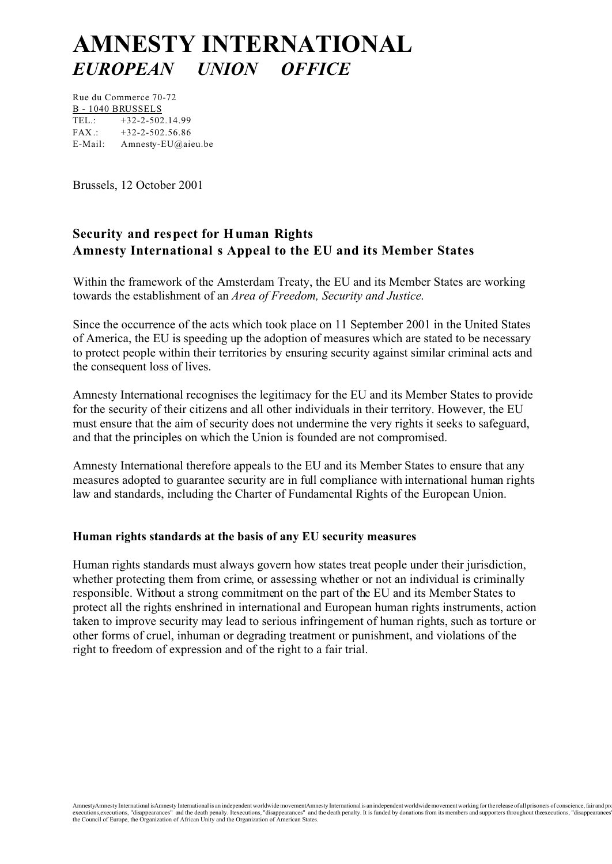# **AMNESTY INTERNATIONAL** *EUROPEAN UNION OFFICE*

Rue du Commerce 70-72 B - 1040 BRUSSELS TEL.: +32-2-502.14.99  $FAX : +32-2-502.56.86$ E-Mail: Amnesty-EU@aieu.be

Brussels, 12 October 2001

# **Security and respect for Human Rights Amnesty International s Appeal to the EU and its Member States**

Within the framework of the Amsterdam Treaty, the EU and its Member States are working towards the establishment of an *Area of Freedom, Security and Justice*.

Since the occurrence of the acts which took place on 11 September 2001 in the United States of America, the EU is speeding up the adoption of measures which are stated to be necessary to protect people within their territories by ensuring security against similar criminal acts and the consequent loss of lives.

Amnesty International recognises the legitimacy for the EU and its Member States to provide for the security of their citizens and all other individuals in their territory. However, the EU must ensure that the aim of security does not undermine the very rights it seeks to safeguard, and that the principles on which the Union is founded are not compromised.

Amnesty International therefore appeals to the EU and its Member States to ensure that any measures adopted to guarantee security are in full compliance with international human rights law and standards, including the Charter of Fundamental Rights of the European Union.

# **Human rights standards at the basis of any EU security measures**

Human rights standards must always govern how states treat people under their jurisdiction, whether protecting them from crime, or assessing whether or not an individual is criminally responsible. Without a strong commitment on the part of the EU and its Member States to protect all the rights enshrined in international and European human rights instruments, action taken to improve security may lead to serious infringement of human rights, such as torture or other forms of cruel, inhuman or degrading treatment or punishment, and violations of the right to freedom of expression and of the right to a fair trial.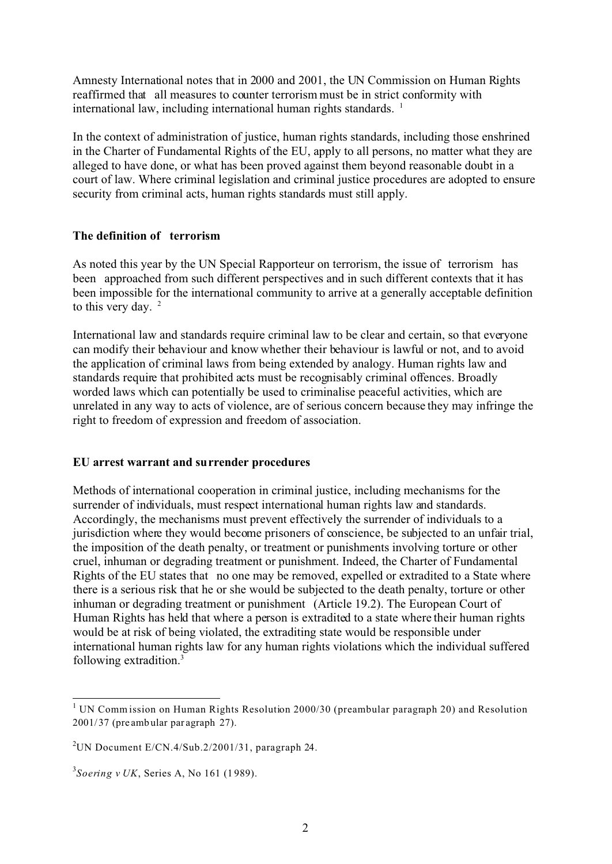Amnesty International notes that in 2000 and 2001, the UN Commission on Human Rights reaffirmed that all measures to counter terrorism must be in strict conformity with international law, including international human rights standards. <sup>1</sup>

In the context of administration of justice, human rights standards, including those enshrined in the Charter of Fundamental Rights of the EU, apply to all persons, no matter what they are alleged to have done, or what has been proved against them beyond reasonable doubt in a court of law. Where criminal legislation and criminal justice procedures are adopted to ensure security from criminal acts, human rights standards must still apply.

# **The definition of terrorism**

As noted this year by the UN Special Rapporteur on terrorism, the issue of terrorism has been approached from such different perspectives and in such different contexts that it has been impossible for the international community to arrive at a generally acceptable definition to this very day.  $2^{\circ}$ 

International law and standards require criminal law to be clear and certain, so that everyone can modify their behaviour and know whether their behaviour is lawful or not, and to avoid the application of criminal laws from being extended by analogy. Human rights law and standards require that prohibited acts must be recognisably criminal offences. Broadly worded laws which can potentially be used to criminalise peaceful activities, which are unrelated in any way to acts of violence, are of serious concern because they may infringe the right to freedom of expression and freedom of association.

# **EU arrest warrant and surrender procedures**

Methods of international cooperation in criminal justice, including mechanisms for the surrender of individuals, must respect international human rights law and standards. Accordingly, the mechanisms must prevent effectively the surrender of individuals to a jurisdiction where they would become prisoners of conscience, be subjected to an unfair trial, the imposition of the death penalty, or treatment or punishments involving torture or other cruel, inhuman or degrading treatment or punishment. Indeed, the Charter of Fundamental Rights of the EU states that no one may be removed, expelled or extradited to a State where there is a serious risk that he or she would be subjected to the death penalty, torture or other inhuman or degrading treatment or punishment (Article 19.2). The European Court of Human Rights has held that where a person is extradited to a state where their human rights would be at risk of being violated, the extraditing state would be responsible under international human rights law for any human rights violations which the individual suffered following extradition.3

 $1$  UN Commission on Human Rights Resolution 2000/30 (preambular paragraph 20) and Resolution 2001/ 37 (pre amb ular par agraph 27).

<sup>&</sup>lt;sup>2</sup>UN Document E/CN.4/Sub.2/2001/31, paragraph 24.

<sup>3</sup> *Soering v UK*, Series A, No 161 (1 989).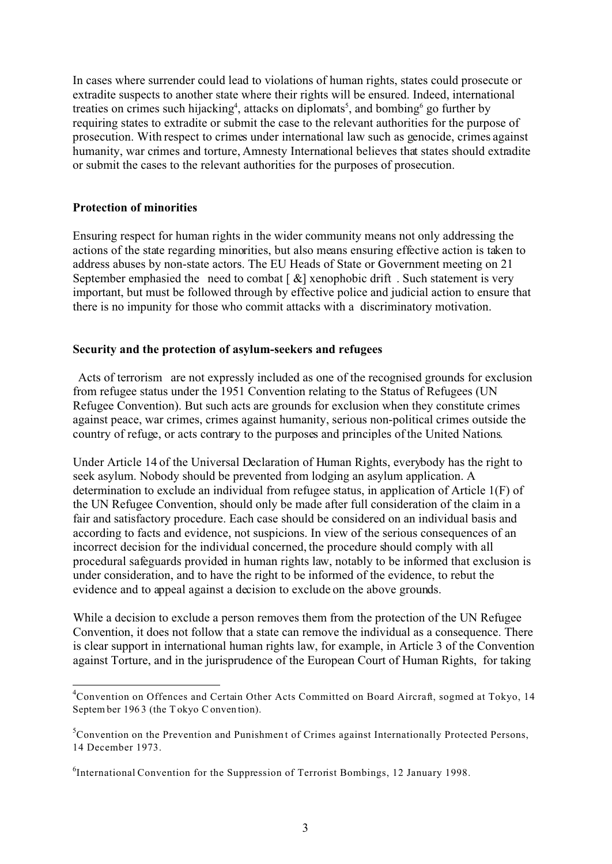In cases where surrender could lead to violations of human rights, states could prosecute or extradite suspects to another state where their rights will be ensured. Indeed, international treaties on crimes such hijacking<sup>4</sup>, attacks on diplomats<sup>5</sup>, and bombing<sup>6</sup> go further by requiring states to extradite or submit the case to the relevant authorities for the purpose of prosecution. With respect to crimes under international law such as genocide, crimes against humanity, war crimes and torture, Amnesty International believes that states should extradite or submit the cases to the relevant authorities for the purposes of prosecution.

# **Protection of minorities**

Ensuring respect for human rights in the wider community means not only addressing the actions of the state regarding minorities, but also means ensuring effective action is taken to address abuses by non-state actors. The EU Heads of State or Government meeting on 21 September emphasied the need to combat  $\lceil \alpha \rceil$  xenophobic drift. Such statement is very important, but must be followed through by effective police and judicial action to ensure that there is no impunity for those who commit attacks with a discriminatory motivation.

#### **Security and the protection of asylum-seekers and refugees**

 Acts of terrorism are not expressly included as one of the recognised grounds for exclusion from refugee status under the 1951 Convention relating to the Status of Refugees (UN Refugee Convention). But such acts are grounds for exclusion when they constitute crimes against peace, war crimes, crimes against humanity, serious non-political crimes outside the country of refuge, or acts contrary to the purposes and principles of the United Nations.

Under Article 14 of the Universal Declaration of Human Rights, everybody has the right to seek asylum. Nobody should be prevented from lodging an asylum application. A determination to exclude an individual from refugee status, in application of Article 1(F) of the UN Refugee Convention, should only be made after full consideration of the claim in a fair and satisfactory procedure. Each case should be considered on an individual basis and according to facts and evidence, not suspicions. In view of the serious consequences of an incorrect decision for the individual concerned, the procedure should comply with all procedural safeguards provided in human rights law, notably to be informed that exclusion is under consideration, and to have the right to be informed of the evidence, to rebut the evidence and to appeal against a decision to exclude on the above grounds.

While a decision to exclude a person removes them from the protection of the UN Refugee Convention, it does not follow that a state can remove the individual as a consequence. There is clear support in international human rights law, for example, in Article 3 of the Convention against Torture, and in the jurisprudence of the European Court of Human Rights, for taking

<sup>&</sup>lt;sup>4</sup>Convention on Offences and Certain Other Acts Committed on Board Aircraft, sogmed at Tokyo, 14 Septem ber 196 3 (the Tokyo Conven tion).

 ${}^{5}$ Convention on the Prevention and Punishment of Crimes against Internationally Protected Persons, 14 December 1973.

<sup>&</sup>lt;sup>6</sup>International Convention for the Suppression of Terrorist Bombings, 12 January 1998.